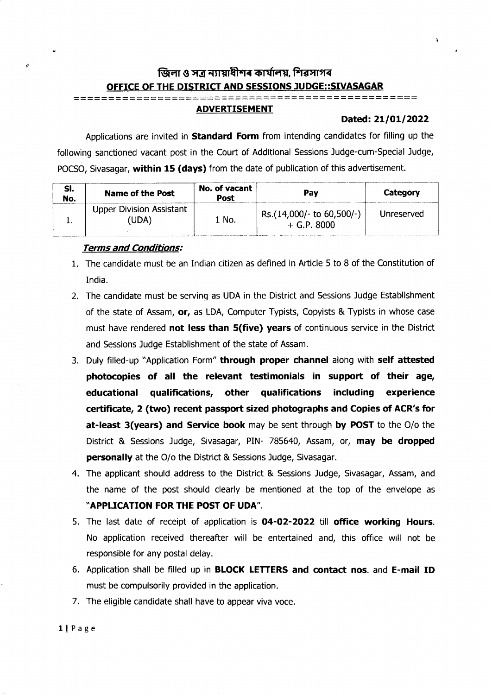# জিলা ও সত্ৰ ন্যায়াধীশৰ কাৰ্যালয়, শিৱসাগৰ OFFICE OF THE DISTRICT AND SESSIONS JUDGE::SIVASAGAR

## ===== ====

# ADVERTISEMENT

### Dated: 21/01/2022

Applications are invited in **Standard Form** from intending candidates for filling up the following sanctioned vacant post in the Court of Additional Sessions Judge-cum-Special Judge, POCSO, Sivasagar, within 15 (days) from the date of publication of this advertisement.

| SI.<br>No. | Name of the Post                         | No. of vacant<br>Post | Pav                                        | Category   |
|------------|------------------------------------------|-----------------------|--------------------------------------------|------------|
|            | <b>Upper Division Assistant</b><br>'UDA) | 1 No.                 | Rs.(14,000/- to 60,500/-)<br>$+$ G.P. 8000 | Unreserved |

#### Terms and Conditions:

/:

- 1. The candidate must be an Indian citizen as defined in Article 5 to 8 of the Constitution of India.
- 2. The candidate must be serving as UDA in the District and Sessions Judge Establishment of the state of Assam, or, as LDA, Computer Typists, Copyists & Typists in whose case must have rendered not less than 5(five) years of continuous service in the District and Sessions Judge Establishment of the state of Assam.
- 3. Duly filled-up "Application Form" through proper channel along with self attested photocopies of all the relevant testimonials in support of their age, educational qualifications, other qualifications including experience certificate, 2 (two) recent passport sized photographs and Copies of ACR's for at-least 3(years) and Service book may be sent through by POST to the O/o the District & Sessions Judge, Sivasagar, PIN- 785640, Assam, or, may be dropped personally at the O/o the District & Sessions Judge, Sivasagar.
- 4. The applicant should address to the District & Sessions Judge, Sivasagar, Assam, and the name of the post should clearly be mentioned at the top of the envelope as "APPLICATION FOR THE POST OF UDA".
- 5. The last date of receipt of application is O4-O2-2O22 till office working Hours. No application received thereafter will be enteftained and, this office will not be responsible for any postal delay.
- 6. Application shall be filled up in BLOCK LETTERS and contact nos. and E-mail ID must be compulsorily provided in the application.
- 7. The eligible candidate shall have to appear viva voce.